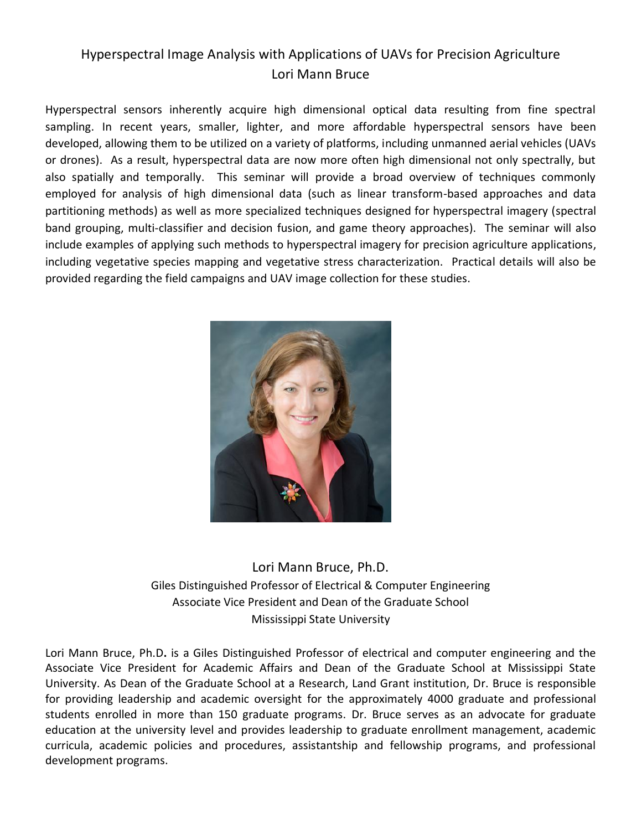## Hyperspectral Image Analysis with Applications of UAVs for Precision Agriculture Lori Mann Bruce

Hyperspectral sensors inherently acquire high dimensional optical data resulting from fine spectral sampling. In recent years, smaller, lighter, and more affordable hyperspectral sensors have been developed, allowing them to be utilized on a variety of platforms, including unmanned aerial vehicles (UAVs or drones). As a result, hyperspectral data are now more often high dimensional not only spectrally, but also spatially and temporally. This seminar will provide a broad overview of techniques commonly employed for analysis of high dimensional data (such as linear transform-based approaches and data partitioning methods) as well as more specialized techniques designed for hyperspectral imagery (spectral band grouping, multi-classifier and decision fusion, and game theory approaches). The seminar will also include examples of applying such methods to hyperspectral imagery for precision agriculture applications, including vegetative species mapping and vegetative stress characterization. Practical details will also be provided regarding the field campaigns and UAV image collection for these studies.



## Lori Mann Bruce, Ph.D. Giles Distinguished Professor of Electrical & Computer Engineering Associate Vice President and Dean of the Graduate School Mississippi State University

Lori Mann Bruce, Ph.D**.** is a Giles Distinguished Professor of electrical and computer engineering and the Associate Vice President for Academic Affairs and Dean of the Graduate School at Mississippi State University. As Dean of the Graduate School at a Research, Land Grant institution, Dr. Bruce is responsible for providing leadership and academic oversight for the approximately 4000 graduate and professional students enrolled in more than 150 graduate programs. Dr. Bruce serves as an advocate for graduate education at the university level and provides leadership to graduate enrollment management, academic curricula, academic policies and procedures, assistantship and fellowship programs, and professional development programs.